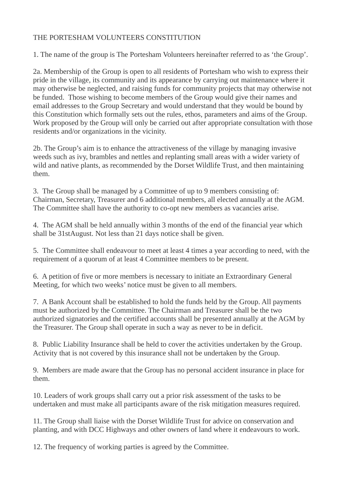## THE PORTESHAM VOLUNTEERS CONSTITUTION

1. The name of the group is The Portesham Volunteers hereinafter referred to as 'the Group'.

2a. Membership of the Group is open to all residents of Portesham who wish to express their pride in the village, its community and its appearance by carrying out maintenance where it may otherwise be neglected, and raising funds for community projects that may otherwise not be funded. Those wishing to become members of the Group would give their names and email addresses to the Group Secretary and would understand that they would be bound by this Constitution which formally sets out the rules, ethos, parameters and aims of the Group. Work proposed by the Group will only be carried out after appropriate consultation with those residents and/or organizations in the vicinity.

2b. The Group's aim is to enhance the attractiveness of the village by managing invasive weeds such as ivy, brambles and nettles and replanting small areas with a wider variety of wild and native plants, as recommended by the Dorset Wildlife Trust, and then maintaining them.

3. The Group shall be managed by a Committee of up to 9 members consisting of: Chairman, Secretary, Treasurer and 6 additional members, all elected annually at the AGM. The Committee shall have the authority to co-opt new members as vacancies arise.

4. The AGM shall be held annually within 3 months of the end of the financial year which shall be 31stAugust. Not less than 21 days notice shall be given.

5. The Committee shall endeavour to meet at least 4 times a year according to need, with the requirement of a quorum of at least 4 Committee members to be present.

6. A petition of five or more members is necessary to initiate an Extraordinary General Meeting, for which two weeks' notice must be given to all members.

7. A Bank Account shall be established to hold the funds held by the Group. All payments must be authorized by the Committee. The Chairman and Treasurer shall be the two authorized signatories and the certified accounts shall be presented annually at the AGM by the Treasurer. The Group shall operate in such a way as never to be in deficit.

8. Public Liability Insurance shall be held to cover the activities undertaken by the Group. Activity that is not covered by this insurance shall not be undertaken by the Group.

9. Members are made aware that the Group has no personal accident insurance in place for them.

10. Leaders of work groups shall carry out a prior risk assessment of the tasks to be undertaken and must make all participants aware of the risk mitigation measures required.

11. The Group shall liaise with the Dorset Wildlife Trust for advice on conservation and planting, and with DCC Highways and other owners of land where it endeavours to work.

12. The frequency of working parties is agreed by the Committee.